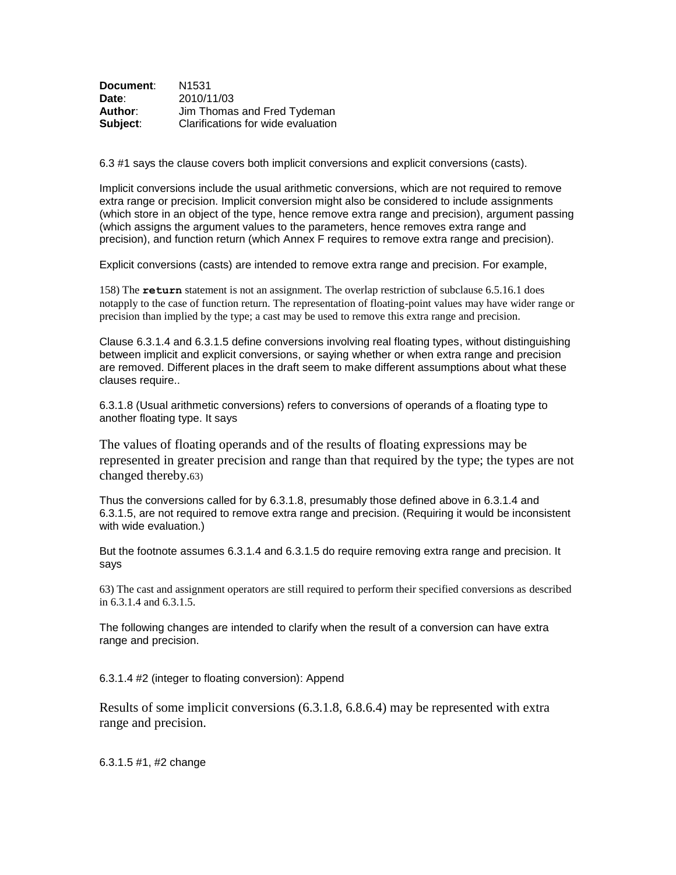| Document: | N1531                              |
|-----------|------------------------------------|
| Date:     | 2010/11/03                         |
| Author:   | Jim Thomas and Fred Tydeman        |
| Subject:  | Clarifications for wide evaluation |

6.3 #1 says the clause covers both implicit conversions and explicit conversions (casts).

Implicit conversions include the usual arithmetic conversions, which are not required to remove extra range or precision. Implicit conversion might also be considered to include assignments (which store in an object of the type, hence remove extra range and precision), argument passing (which assigns the argument values to the parameters, hence removes extra range and precision), and function return (which Annex F requires to remove extra range and precision).

Explicit conversions (casts) are intended to remove extra range and precision. For example,

158) The **return** statement is not an assignment. The overlap restriction of subclause 6.5.16.1 does notapply to the case of function return. The representation of floating-point values may have wider range or precision than implied by the type; a cast may be used to remove this extra range and precision.

Clause 6.3.1.4 and 6.3.1.5 define conversions involving real floating types, without distinguishing between implicit and explicit conversions, or saying whether or when extra range and precision are removed. Different places in the draft seem to make different assumptions about what these clauses require..

6.3.1.8 (Usual arithmetic conversions) refers to conversions of operands of a floating type to another floating type. It says

The values of floating operands and of the results of floating expressions may be represented in greater precision and range than that required by the type; the types are not changed thereby.63)

Thus the conversions called for by 6.3.1.8, presumably those defined above in 6.3.1.4 and 6.3.1.5, are not required to remove extra range and precision. (Requiring it would be inconsistent with wide evaluation.)

But the footnote assumes 6.3.1.4 and 6.3.1.5 do require removing extra range and precision. It says

63) The cast and assignment operators are still required to perform their specified conversions as described in 6.3.1.4 and 6.3.1.5.

The following changes are intended to clarify when the result of a conversion can have extra range and precision.

6.3.1.4 #2 (integer to floating conversion): Append

Results of some implicit conversions (6.3.1.8, 6.8.6.4) may be represented with extra range and precision.

6.3.1.5 #1, #2 change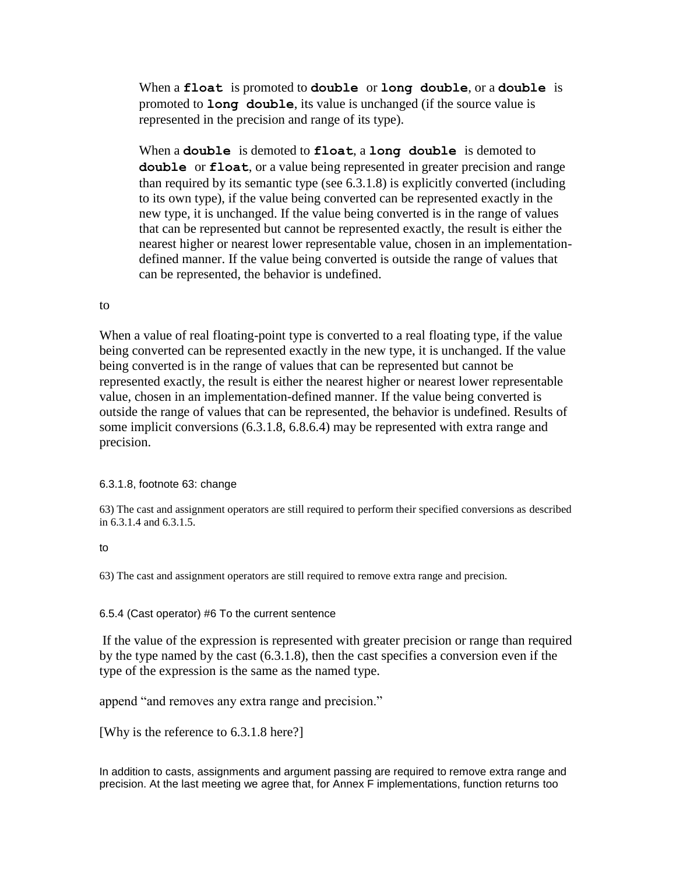When a **float** is promoted to **double** or **long double**, or a **double** is promoted to **long double**, its value is unchanged (if the source value is represented in the precision and range of its type).

When a **double** is demoted to **float**, a **long double** is demoted to **double** or **float**, or a value being represented in greater precision and range than required by its semantic type (see 6.3.1.8) is explicitly converted (including to its own type), if the value being converted can be represented exactly in the new type, it is unchanged. If the value being converted is in the range of values that can be represented but cannot be represented exactly, the result is either the nearest higher or nearest lower representable value, chosen in an implementationdefined manner. If the value being converted is outside the range of values that can be represented, the behavior is undefined.

## to

When a value of real floating-point type is converted to a real floating type, if the value being converted can be represented exactly in the new type, it is unchanged. If the value being converted is in the range of values that can be represented but cannot be represented exactly, the result is either the nearest higher or nearest lower representable value, chosen in an implementation-defined manner. If the value being converted is outside the range of values that can be represented, the behavior is undefined. Results of some implicit conversions (6.3.1.8, 6.8.6.4) may be represented with extra range and precision.

## 6.3.1.8, footnote 63: change

63) The cast and assignment operators are still required to perform their specified conversions as described in 6.3.1.4 and 6.3.1.5.

## to

63) The cast and assignment operators are still required to remove extra range and precision.

## 6.5.4 (Cast operator) #6 To the current sentence

If the value of the expression is represented with greater precision or range than required by the type named by the cast (6.3.1.8), then the cast specifies a conversion even if the type of the expression is the same as the named type.

append "and removes any extra range and precision."

[Why is the reference to 6.3.1.8 here?]

In addition to casts, assignments and argument passing are required to remove extra range and precision. At the last meeting we agree that, for Annex F implementations, function returns too